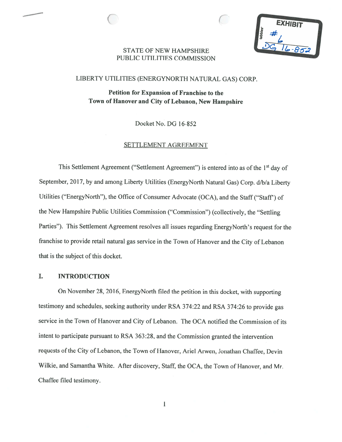**EXHIBIT** 

## STATE OF NEW HAMPSHIREPUBLIC UTILITIES COMMISSION

 $\subset$ 

## LIBERTY UTILITIES (ENERGYNORTH NATURAL GAS) CORP.

Petition for Expansion of Franchise to the Town of Hanover and City of Lebanon, New Hampshire

Docket No. DG 16-852

## SETTLEMENT AGREEMENT

This Settlement Agreement ("Settlement Agreement") is entered into as of the 1<sup>st</sup> day of September, 2017, by and among Liberty Utilities (EnergyNorth Natural Gas) Corp. d/b/a Liberty Utilities ("EnergyNorth"), the Office of Consumer Advocate (OCA), and the Staff ("Staff) of the New Hampshire Public Utilities Commission ("Commission") (collectively, the "Settling Parties"). This Settlement Agreement resolves all issues regarding EnergyNorth's request for the franchise to provide retail natural gas service in the Town of Hanover and the City of Lebanon that is the subject of this docket.

#### I.INTRODUCTION

On November 28, 2016, EnergyNorth filed the petition in this docket, with supporting testimony and schedules, seeking authority under RSA 374:22 and RSA 374:26 to provide gas service in the Town of Hanover and City of Lebanon. The OCA notified the Commission of its intent to participate pursuant to RSA 363:28, and the Commission granted the intervention requests of the City of Lebanon, the Town of Hanover, Ariel Arwen, Jonathan Chaffee, Devin Wilkie, and Samantha White. After discovery, Staff, the OCA, the Town of Hanover, and Mr. Chaffee filed testimony.

 $\mathbf{1}$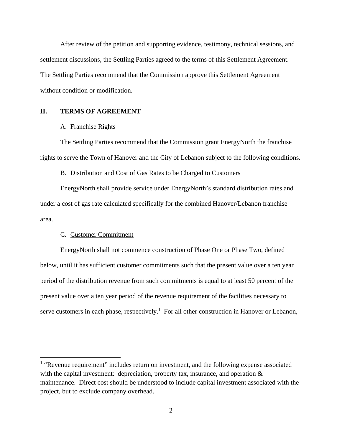After review of the petition and supporting evidence, testimony, technical sessions, and settlement discussions, the Settling Parties agreed to the terms of this Settlement Agreement. The Settling Parties recommend that the Commission approve this Settlement Agreement without condition or modification.

# **II. TERMS OF AGREEMENT**

#### A. Franchise Rights

The Settling Parties recommend that the Commission grant EnergyNorth the franchise rights to serve the Town of Hanover and the City of Lebanon subject to the following conditions.

#### B. Distribution and Cost of Gas Rates to be Charged to Customers

EnergyNorth shall provide service under EnergyNorth's standard distribution rates and under a cost of gas rate calculated specifically for the combined Hanover/Lebanon franchise area.

### C. Customer Commitment

 $\overline{a}$ 

EnergyNorth shall not commence construction of Phase One or Phase Two, defined below, until it has sufficient customer commitments such that the present value over a ten year period of the distribution revenue from such commitments is equal to at least 50 percent of the present value over a ten year period of the revenue requirement of the facilities necessary to serve customers in each phase, respectively.<sup>1</sup> For all other construction in Hanover or Lebanon,

<sup>&</sup>lt;sup>1</sup> "Revenue requirement" includes return on investment, and the following expense associated with the capital investment: depreciation, property tax, insurance, and operation  $\&$ maintenance. Direct cost should be understood to include capital investment associated with the project, but to exclude company overhead.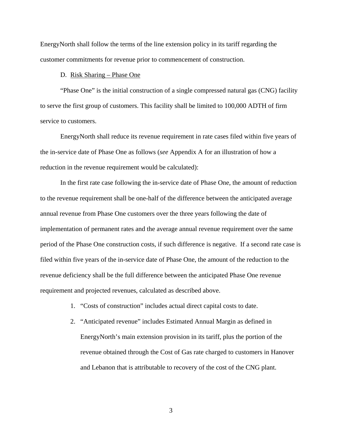EnergyNorth shall follow the terms of the line extension policy in its tariff regarding the customer commitments for revenue prior to commencement of construction.

#### D. Risk Sharing – Phase One

"Phase One" is the initial construction of a single compressed natural gas (CNG) facility to serve the first group of customers. This facility shall be limited to 100,000 ADTH of firm service to customers.

EnergyNorth shall reduce its revenue requirement in rate cases filed within five years of the in-service date of Phase One as follows (*see* Appendix A for an illustration of how a reduction in the revenue requirement would be calculated):

In the first rate case following the in-service date of Phase One, the amount of reduction to the revenue requirement shall be one-half of the difference between the anticipated average annual revenue from Phase One customers over the three years following the date of implementation of permanent rates and the average annual revenue requirement over the same period of the Phase One construction costs, if such difference is negative. If a second rate case is filed within five years of the in-service date of Phase One, the amount of the reduction to the revenue deficiency shall be the full difference between the anticipated Phase One revenue requirement and projected revenues, calculated as described above.

- 1. "Costs of construction" includes actual direct capital costs to date.
- 2. "Anticipated revenue" includes Estimated Annual Margin as defined in EnergyNorth's main extension provision in its tariff, plus the portion of the revenue obtained through the Cost of Gas rate charged to customers in Hanover and Lebanon that is attributable to recovery of the cost of the CNG plant.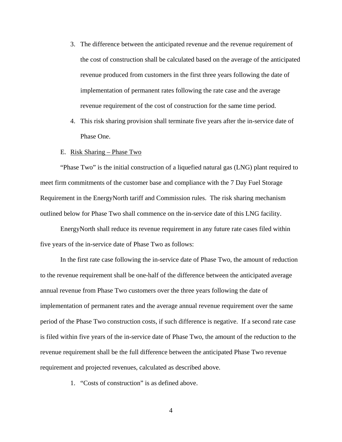- 3. The difference between the anticipated revenue and the revenue requirement of the cost of construction shall be calculated based on the average of the anticipated revenue produced from customers in the first three years following the date of implementation of permanent rates following the rate case and the average revenue requirement of the cost of construction for the same time period.
- 4. This risk sharing provision shall terminate five years after the in-service date of Phase One.

#### E. Risk Sharing – Phase Two

"Phase Two" is the initial construction of a liquefied natural gas (LNG) plant required to meet firm commitments of the customer base and compliance with the 7 Day Fuel Storage Requirement in the EnergyNorth tariff and Commission rules. The risk sharing mechanism outlined below for Phase Two shall commence on the in-service date of this LNG facility.

EnergyNorth shall reduce its revenue requirement in any future rate cases filed within five years of the in-service date of Phase Two as follows:

In the first rate case following the in-service date of Phase Two, the amount of reduction to the revenue requirement shall be one-half of the difference between the anticipated average annual revenue from Phase Two customers over the three years following the date of implementation of permanent rates and the average annual revenue requirement over the same period of the Phase Two construction costs, if such difference is negative. If a second rate case is filed within five years of the in-service date of Phase Two, the amount of the reduction to the revenue requirement shall be the full difference between the anticipated Phase Two revenue requirement and projected revenues, calculated as described above.

1. "Costs of construction" is as defined above.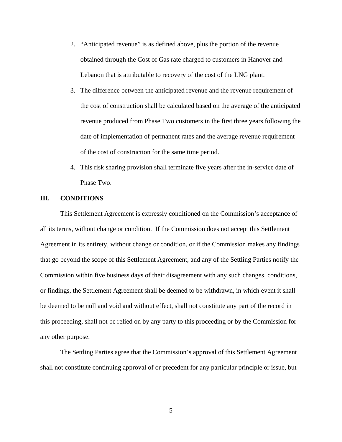- 2. "Anticipated revenue" is as defined above, plus the portion of the revenue obtained through the Cost of Gas rate charged to customers in Hanover and Lebanon that is attributable to recovery of the cost of the LNG plant.
- 3. The difference between the anticipated revenue and the revenue requirement of the cost of construction shall be calculated based on the average of the anticipated revenue produced from Phase Two customers in the first three years following the date of implementation of permanent rates and the average revenue requirement of the cost of construction for the same time period.
- 4. This risk sharing provision shall terminate five years after the in-service date of Phase Two.

## **III. CONDITIONS**

This Settlement Agreement is expressly conditioned on the Commission's acceptance of all its terms, without change or condition. If the Commission does not accept this Settlement Agreement in its entirety, without change or condition, or if the Commission makes any findings that go beyond the scope of this Settlement Agreement, and any of the Settling Parties notify the Commission within five business days of their disagreement with any such changes, conditions, or findings, the Settlement Agreement shall be deemed to be withdrawn, in which event it shall be deemed to be null and void and without effect, shall not constitute any part of the record in this proceeding, shall not be relied on by any party to this proceeding or by the Commission for any other purpose.

The Settling Parties agree that the Commission's approval of this Settlement Agreement shall not constitute continuing approval of or precedent for any particular principle or issue, but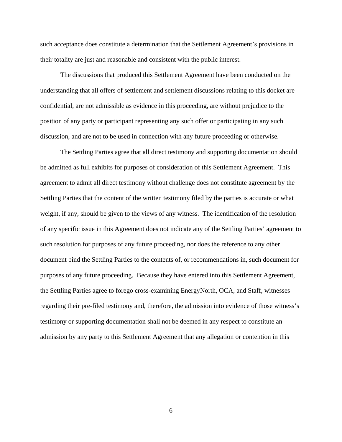such acceptance does constitute a determination that the Settlement Agreement's provisions in their totality are just and reasonable and consistent with the public interest.

The discussions that produced this Settlement Agreement have been conducted on the understanding that all offers of settlement and settlement discussions relating to this docket are confidential, are not admissible as evidence in this proceeding, are without prejudice to the position of any party or participant representing any such offer or participating in any such discussion, and are not to be used in connection with any future proceeding or otherwise.

The Settling Parties agree that all direct testimony and supporting documentation should be admitted as full exhibits for purposes of consideration of this Settlement Agreement. This agreement to admit all direct testimony without challenge does not constitute agreement by the Settling Parties that the content of the written testimony filed by the parties is accurate or what weight, if any, should be given to the views of any witness. The identification of the resolution of any specific issue in this Agreement does not indicate any of the Settling Parties' agreement to such resolution for purposes of any future proceeding, nor does the reference to any other document bind the Settling Parties to the contents of, or recommendations in, such document for purposes of any future proceeding. Because they have entered into this Settlement Agreement, the Settling Parties agree to forego cross-examining EnergyNorth, OCA, and Staff, witnesses regarding their pre-filed testimony and, therefore, the admission into evidence of those witness's testimony or supporting documentation shall not be deemed in any respect to constitute an admission by any party to this Settlement Agreement that any allegation or contention in this